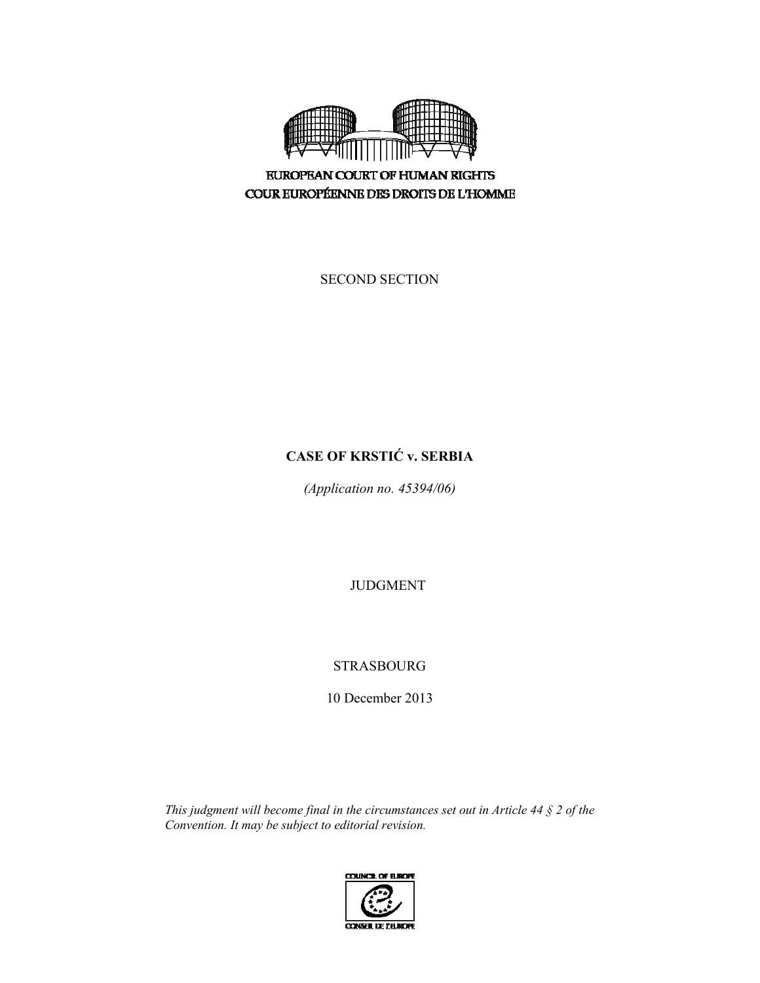

**EUROPEAN COURT OF HUMAN RIGHTS** COUR EUROPÉENNE DES DROITS DE L'HOMME

SECOND SECTION

# **CASE OF KRSTIĆ v. SERBIA**

*(Application no. 45394/06)* 

JUDGMENT

STRASBOURG

10 December 2013

*This judgment will become final in the circumstances set out in Article 44 § 2 of the Convention. It may be subject to editorial revision.* 

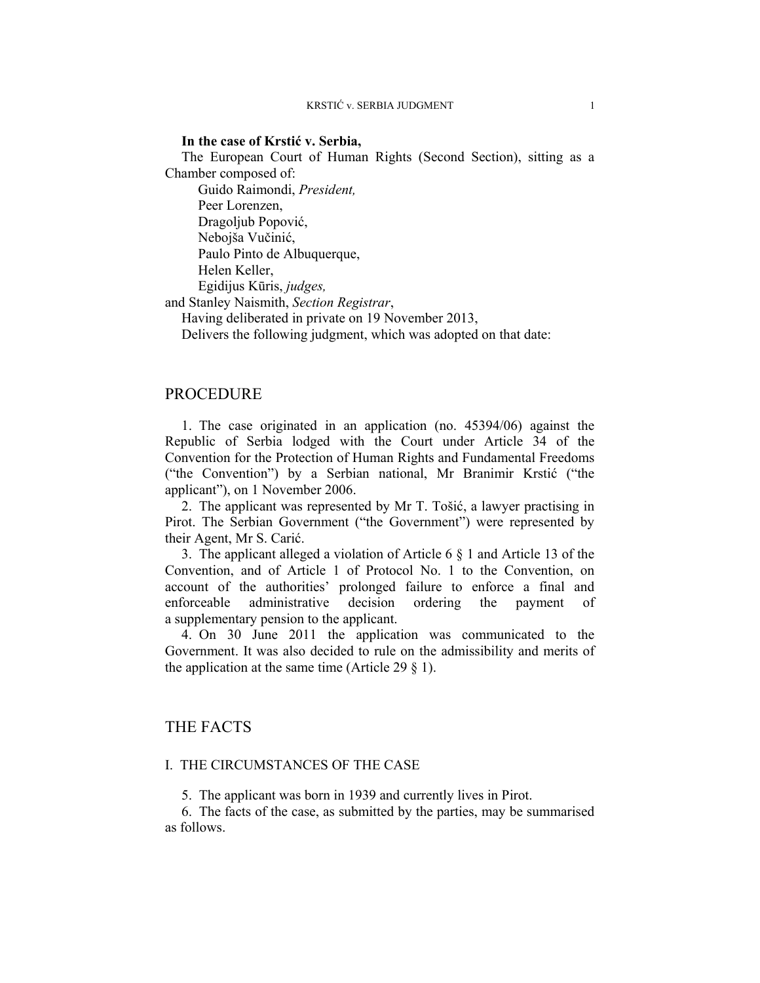#### **In the case of Krstić v. Serbia,**

The European Court of Human Rights (Second Section), sitting as a Chamber composed of:

 Guido Raimondi, *President,*  Peer Lorenzen, Dragoljub Popović, Nebojša Vučinić, Paulo Pinto de Albuquerque, Helen Keller, Egidijus Kūris, *judges,* 

and Stanley Naismith, *Section Registrar*,

Having deliberated in private on 19 November 2013,

Delivers the following judgment, which was adopted on that date:

### PROCEDURE

1. The case originated in an application (no. 45394/06) against the Republic of Serbia lodged with the Court under Article 34 of the Convention for the Protection of Human Rights and Fundamental Freedoms ("the Convention") by a Serbian national, Mr Branimir Krstić ("the applicant"), on 1 November 2006.

2. The applicant was represented by Mr T. Tošić, a lawyer practising in Pirot. The Serbian Government ("the Government") were represented by their Agent, Mr S. Carić.

3. The applicant alleged a violation of Article 6 § 1 and Article 13 of the Convention, and of Article 1 of Protocol No. 1 to the Convention, on account of the authorities' prolonged failure to enforce a final and enforceable administrative decision ordering the payment of a supplementary pension to the applicant.

4. On 30 June 2011 the application was communicated to the Government. It was also decided to rule on the admissibility and merits of the application at the same time (Article 29  $\S$  1).

# THE FACTS

### I. THE CIRCUMSTANCES OF THE CASE

5. The applicant was born in 1939 and currently lives in Pirot.

6. The facts of the case, as submitted by the parties, may be summarised as follows.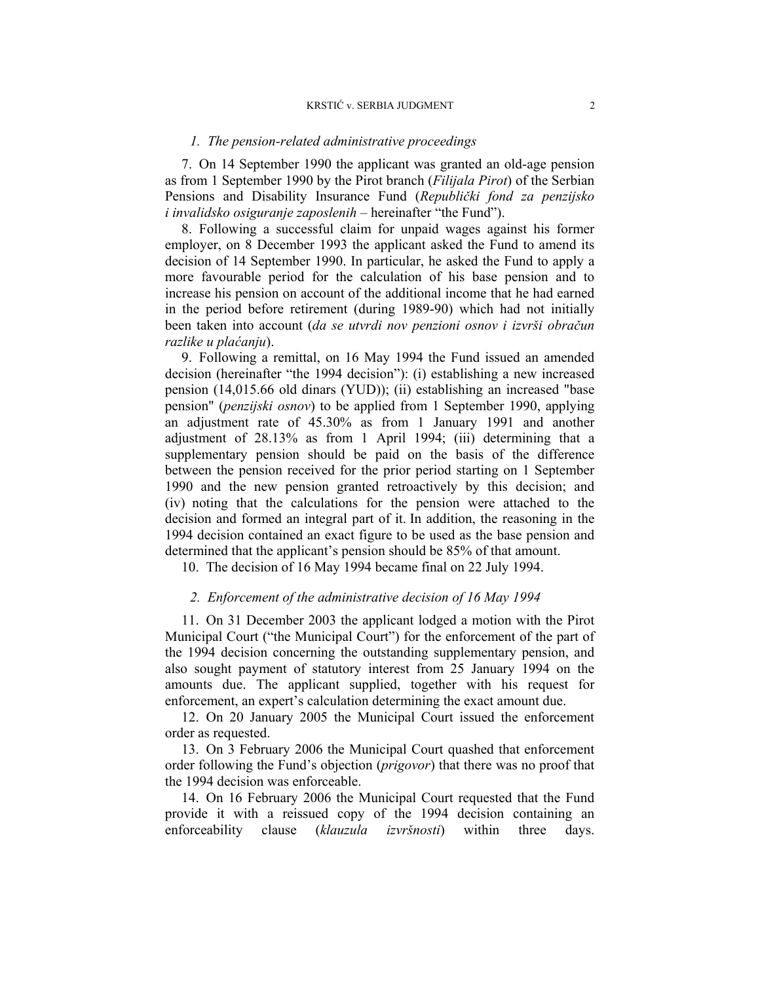#### *1. The pension-related administrative proceedings*

7. On 14 September 1990 the applicant was granted an old-age pension as from 1 September 1990 by the Pirot branch (*Filijala Pirot*) of the Serbian Pensions and Disability Insurance Fund (*Republički fond za penzijsko i invalidsko osiguranje zaposlenih* – hereinafter "the Fund").

8. Following a successful claim for unpaid wages against his former employer, on 8 December 1993 the applicant asked the Fund to amend its decision of 14 September 1990. In particular, he asked the Fund to apply a more favourable period for the calculation of his base pension and to increase his pension on account of the additional income that he had earned in the period before retirement (during 1989-90) which had not initially been taken into account (*da se utvrdi nov penzioni osnov i izvrši obračun razlike u plaćanju*).

9. Following a remittal, on 16 May 1994 the Fund issued an amended decision (hereinafter "the 1994 decision"): (i) establishing a new increased pension (14,015.66 old dinars (YUD)); (ii) establishing an increased "base pension" (*penzijski osnov*) to be applied from 1 September 1990, applying an adjustment rate of 45.30% as from 1 January 1991 and another adjustment of 28.13% as from 1 April 1994; (iii) determining that a supplementary pension should be paid on the basis of the difference between the pension received for the prior period starting on 1 September 1990 and the new pension granted retroactively by this decision; and (iv) noting that the calculations for the pension were attached to the decision and formed an integral part of it. In addition, the reasoning in the 1994 decision contained an exact figure to be used as the base pension and determined that the applicant's pension should be 85% of that amount.

10. The decision of 16 May 1994 became final on 22 July 1994.

### *2. Enforcement of the administrative decision of 16 May 1994*

11. On 31 December 2003 the applicant lodged a motion with the Pirot Municipal Court ("the Municipal Court") for the enforcement of the part of the 1994 decision concerning the outstanding supplementary pension, and also sought payment of statutory interest from 25 January 1994 on the amounts due. The applicant supplied, together with his request for enforcement, an expert's calculation determining the exact amount due.

12. On 20 January 2005 the Municipal Court issued the enforcement order as requested.

13. On 3 February 2006 the Municipal Court quashed that enforcement order following the Fund's objection (*prigovor*) that there was no proof that the 1994 decision was enforceable.

14. On 16 February 2006 the Municipal Court requested that the Fund provide it with a reissued copy of the 1994 decision containing an enforceability clause (*klauzula izvršnosti*) within three days.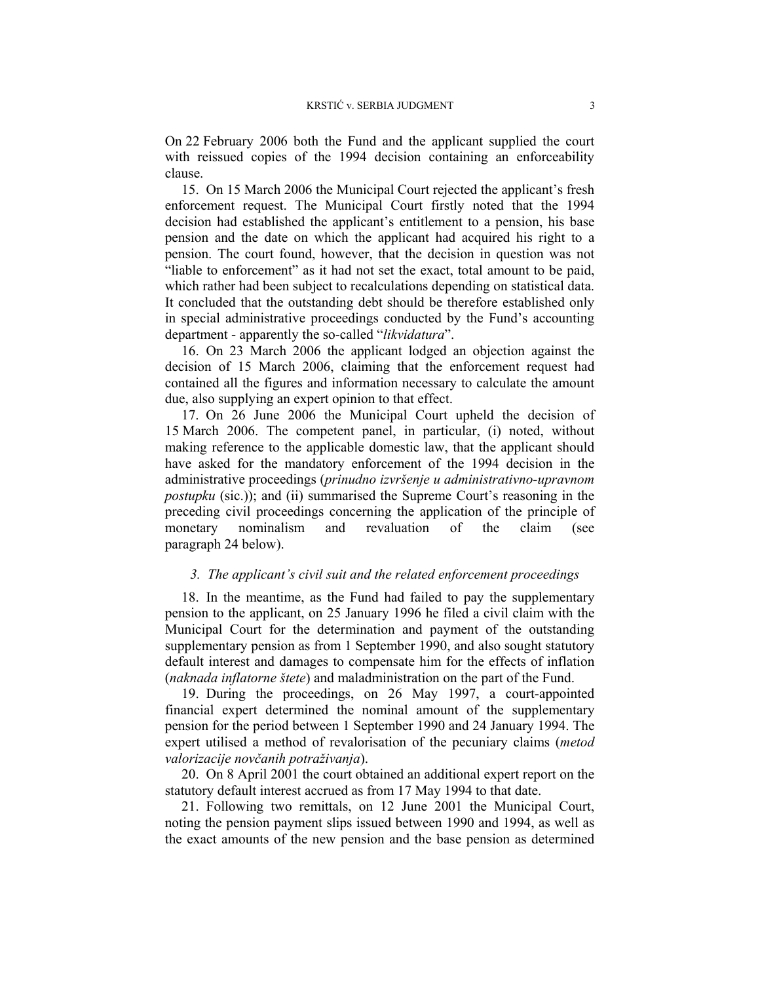On 22 February 2006 both the Fund and the applicant supplied the court with reissued copies of the 1994 decision containing an enforceability clause.

15. On 15 March 2006 the Municipal Court rejected the applicant's fresh enforcement request. The Municipal Court firstly noted that the 1994 decision had established the applicant's entitlement to a pension, his base pension and the date on which the applicant had acquired his right to a pension. The court found, however, that the decision in question was not "liable to enforcement" as it had not set the exact, total amount to be paid, which rather had been subject to recalculations depending on statistical data. It concluded that the outstanding debt should be therefore established only in special administrative proceedings conducted by the Fund's accounting department - apparently the so-called "*likvidatura*".

16. On 23 March 2006 the applicant lodged an objection against the decision of 15 March 2006, claiming that the enforcement request had contained all the figures and information necessary to calculate the amount due, also supplying an expert opinion to that effect.

17. On 26 June 2006 the Municipal Court upheld the decision of 15 March 2006. The competent panel, in particular, (i) noted, without making reference to the applicable domestic law, that the applicant should have asked for the mandatory enforcement of the 1994 decision in the administrative proceedings (*prinudno izvršenje u administrativno-upravnom postupku* (sic.)); and (ii) summarised the Supreme Court's reasoning in the preceding civil proceedings concerning the application of the principle of monetary nominalism and revaluation of the claim (see paragraph 24 below).

## *3. The applicant's civil suit and the related enforcement proceedings*

18. In the meantime, as the Fund had failed to pay the supplementary pension to the applicant, on 25 January 1996 he filed a civil claim with the Municipal Court for the determination and payment of the outstanding supplementary pension as from 1 September 1990, and also sought statutory default interest and damages to compensate him for the effects of inflation (*naknada inflatorne štete*) and maladministration on the part of the Fund.

19. During the proceedings, on 26 May 1997, a court-appointed financial expert determined the nominal amount of the supplementary pension for the period between 1 September 1990 and 24 January 1994. The expert utilised a method of revalorisation of the pecuniary claims (*metod valorizacije novčanih potraživanja*).

20. On 8 April 2001 the court obtained an additional expert report on the statutory default interest accrued as from 17 May 1994 to that date.

21. Following two remittals, on 12 June 2001 the Municipal Court, noting the pension payment slips issued between 1990 and 1994, as well as the exact amounts of the new pension and the base pension as determined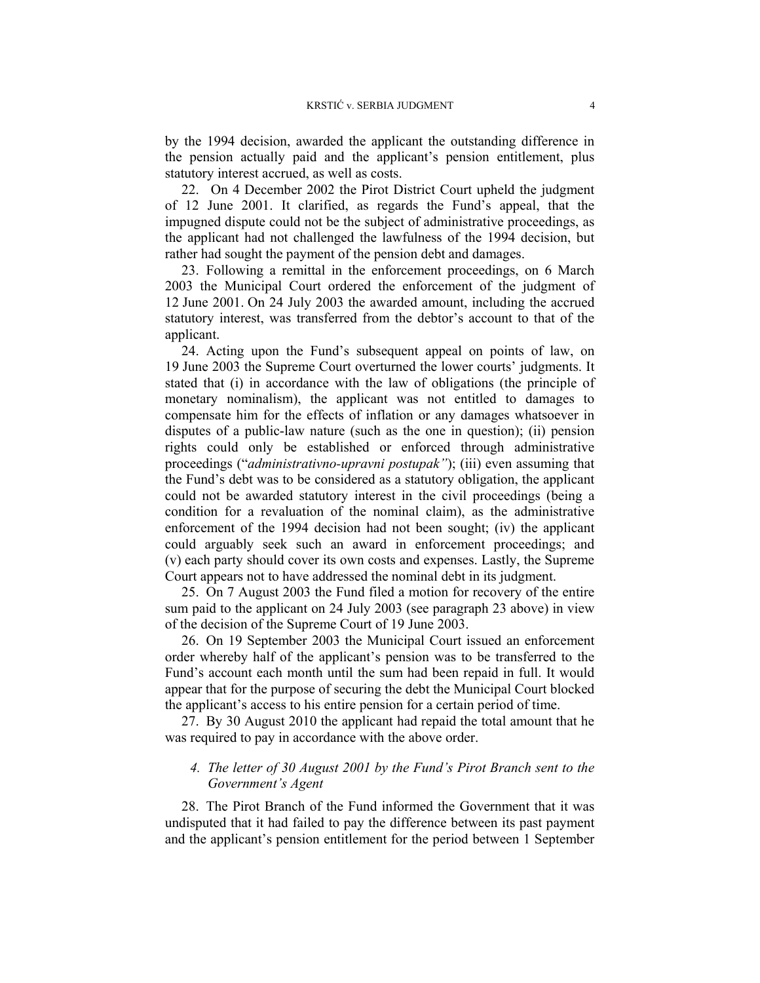by the 1994 decision, awarded the applicant the outstanding difference in the pension actually paid and the applicant's pension entitlement, plus statutory interest accrued, as well as costs.

22. On 4 December 2002 the Pirot District Court upheld the judgment of 12 June 2001. It clarified, as regards the Fund's appeal, that the impugned dispute could not be the subject of administrative proceedings, as the applicant had not challenged the lawfulness of the 1994 decision, but rather had sought the payment of the pension debt and damages.

23. Following a remittal in the enforcement proceedings, on 6 March 2003 the Municipal Court ordered the enforcement of the judgment of 12 June 2001. On 24 July 2003 the awarded amount, including the accrued statutory interest, was transferred from the debtor's account to that of the applicant.

24. Acting upon the Fund's subsequent appeal on points of law, on 19 June 2003 the Supreme Court overturned the lower courts' judgments. It stated that (i) in accordance with the law of obligations (the principle of monetary nominalism), the applicant was not entitled to damages to compensate him for the effects of inflation or any damages whatsoever in disputes of a public-law nature (such as the one in question); (ii) pension rights could only be established or enforced through administrative proceedings ("*administrativno-upravni postupak"*); (iii) even assuming that the Fund's debt was to be considered as a statutory obligation, the applicant could not be awarded statutory interest in the civil proceedings (being a condition for a revaluation of the nominal claim), as the administrative enforcement of the 1994 decision had not been sought; (iv) the applicant could arguably seek such an award in enforcement proceedings; and (v) each party should cover its own costs and expenses. Lastly, the Supreme Court appears not to have addressed the nominal debt in its judgment.

25. On 7 August 2003 the Fund filed a motion for recovery of the entire sum paid to the applicant on 24 July 2003 (see paragraph 23 above) in view of the decision of the Supreme Court of 19 June 2003.

26. On 19 September 2003 the Municipal Court issued an enforcement order whereby half of the applicant's pension was to be transferred to the Fund's account each month until the sum had been repaid in full. It would appear that for the purpose of securing the debt the Municipal Court blocked the applicant's access to his entire pension for a certain period of time.

27. By 30 August 2010 the applicant had repaid the total amount that he was required to pay in accordance with the above order.

# *4. The letter of 30 August 2001 by the Fund's Pirot Branch sent to the Government's Agent*

28. The Pirot Branch of the Fund informed the Government that it was undisputed that it had failed to pay the difference between its past payment and the applicant's pension entitlement for the period between 1 September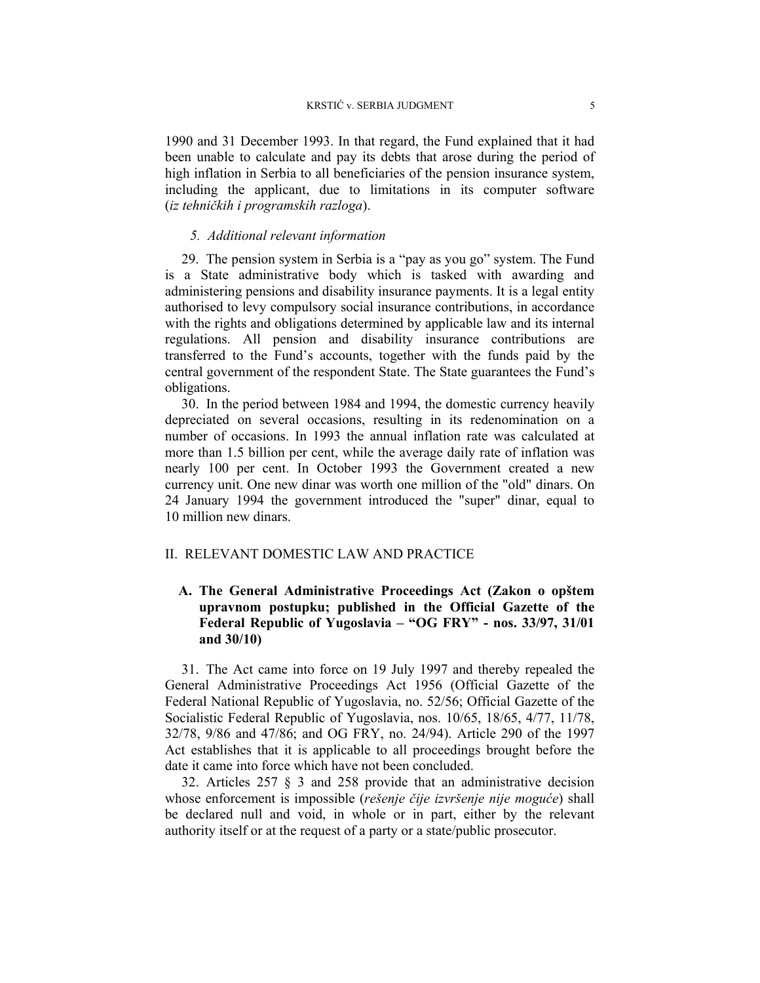1990 and 31 December 1993. In that regard, the Fund explained that it had been unable to calculate and pay its debts that arose during the period of high inflation in Serbia to all beneficiaries of the pension insurance system, including the applicant, due to limitations in its computer software (*iz tehničkih i programskih razloga*).

#### *5. Additional relevant information*

29. The pension system in Serbia is a "pay as you go" system. The Fund is a State administrative body which is tasked with awarding and administering pensions and disability insurance payments. It is a legal entity authorised to levy compulsory social insurance contributions, in accordance with the rights and obligations determined by applicable law and its internal regulations. All pension and disability insurance contributions are transferred to the Fund's accounts, together with the funds paid by the central government of the respondent State. The State guarantees the Fund's obligations.

30. In the period between 1984 and 1994, the domestic currency heavily depreciated on several occasions, resulting in its redenomination on a number of occasions. In 1993 the annual inflation rate was calculated at more than 1.5 billion per cent, while the average daily rate of inflation was nearly 100 per cent. In October 1993 the Government created a new currency unit. One new dinar was worth one million of the "old" dinars. On 24 January 1994 the government introduced the "super" dinar, equal to 10 million new dinars.

#### II. RELEVANT DOMESTIC LAW AND PRACTICE

# **A. The General Administrative Proceedings Act (Zakon o opštem upravnom postupku; published in the Official Gazette of the Federal Republic of Yugoslavia – "OG FRY" - nos. 33/97, 31/01 and 30/10)**

31. The Act came into force on 19 July 1997 and thereby repealed the General Administrative Proceedings Act 1956 (Official Gazette of the Federal National Republic of Yugoslavia, no. 52/56; Official Gazette of the Socialistic Federal Republic of Yugoslavia, nos. 10/65, 18/65, 4/77, 11/78, 32/78, 9/86 and 47/86; and OG FRY, no. 24/94). Article 290 of the 1997 Act establishes that it is applicable to all proceedings brought before the date it came into force which have not been concluded.

32. Articles 257 § 3 and 258 provide that an administrative decision whose enforcement is impossible (*rešenje čije izvršenje nije moguće*) shall be declared null and void, in whole or in part, either by the relevant authority itself or at the request of a party or a state/public prosecutor.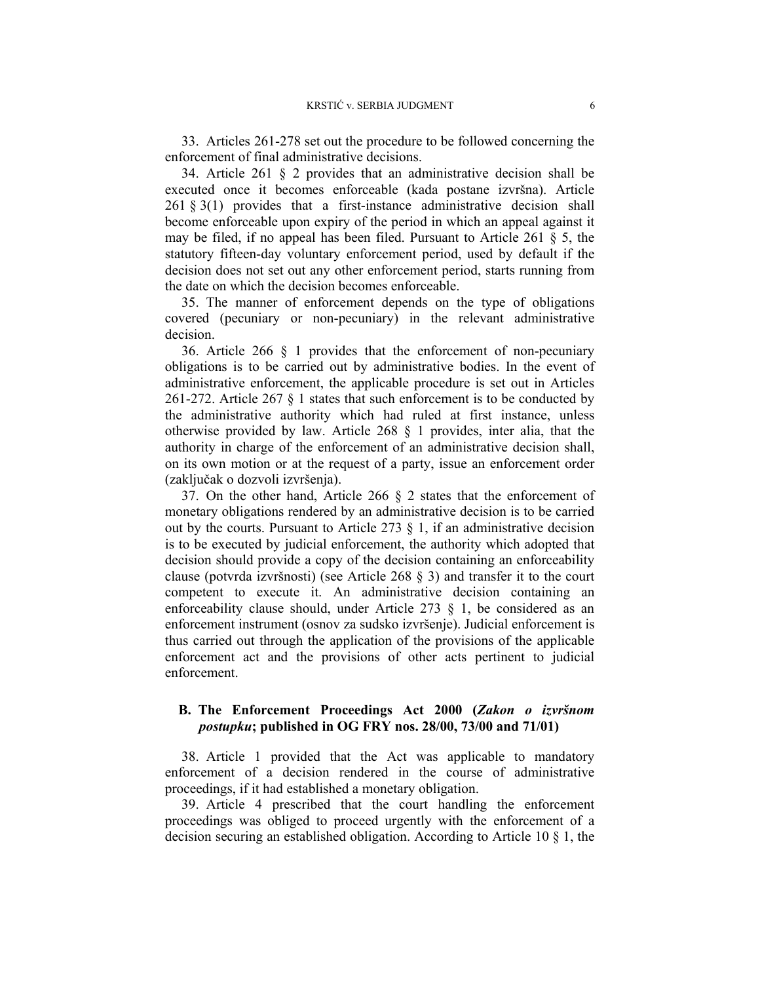33. Articles 261-278 set out the procedure to be followed concerning the enforcement of final administrative decisions.

34. Article 261 § 2 provides that an administrative decision shall be executed once it becomes enforceable (kada postane izvršna). Article  $261 \text{ }\frac{1}{2}$  (1) provides that a first-instance administrative decision shall become enforceable upon expiry of the period in which an appeal against it may be filed, if no appeal has been filed. Pursuant to Article 261 § 5, the statutory fifteen-day voluntary enforcement period, used by default if the decision does not set out any other enforcement period, starts running from the date on which the decision becomes enforceable.

35. The manner of enforcement depends on the type of obligations covered (pecuniary or non-pecuniary) in the relevant administrative decision.

36. Article 266 § 1 provides that the enforcement of non-pecuniary obligations is to be carried out by administrative bodies. In the event of administrative enforcement, the applicable procedure is set out in Articles 261-272. Article 267 § 1 states that such enforcement is to be conducted by the administrative authority which had ruled at first instance, unless otherwise provided by law. Article 268 § 1 provides, inter alia, that the authority in charge of the enforcement of an administrative decision shall, on its own motion or at the request of a party, issue an enforcement order (zaključak o dozvoli izvršenja).

37. On the other hand, Article 266 § 2 states that the enforcement of monetary obligations rendered by an administrative decision is to be carried out by the courts. Pursuant to Article 273  $\S$  1, if an administrative decision is to be executed by judicial enforcement, the authority which adopted that decision should provide a copy of the decision containing an enforceability clause (potvrda izvršnosti) (see Article 268 § 3) and transfer it to the court competent to execute it. An administrative decision containing an enforceability clause should, under Article 273 § 1, be considered as an enforcement instrument (osnov za sudsko izvršenje). Judicial enforcement is thus carried out through the application of the provisions of the applicable enforcement act and the provisions of other acts pertinent to judicial enforcement.

# **B. The Enforcement Proceedings Act 2000 (***Zakon o izvršnom postupku***; published in OG FRY nos. 28/00, 73/00 and 71/01)**

38. Article 1 provided that the Act was applicable to mandatory enforcement of a decision rendered in the course of administrative proceedings, if it had established a monetary obligation.

39. Article 4 prescribed that the court handling the enforcement proceedings was obliged to proceed urgently with the enforcement of a decision securing an established obligation. According to Article 10 § 1, the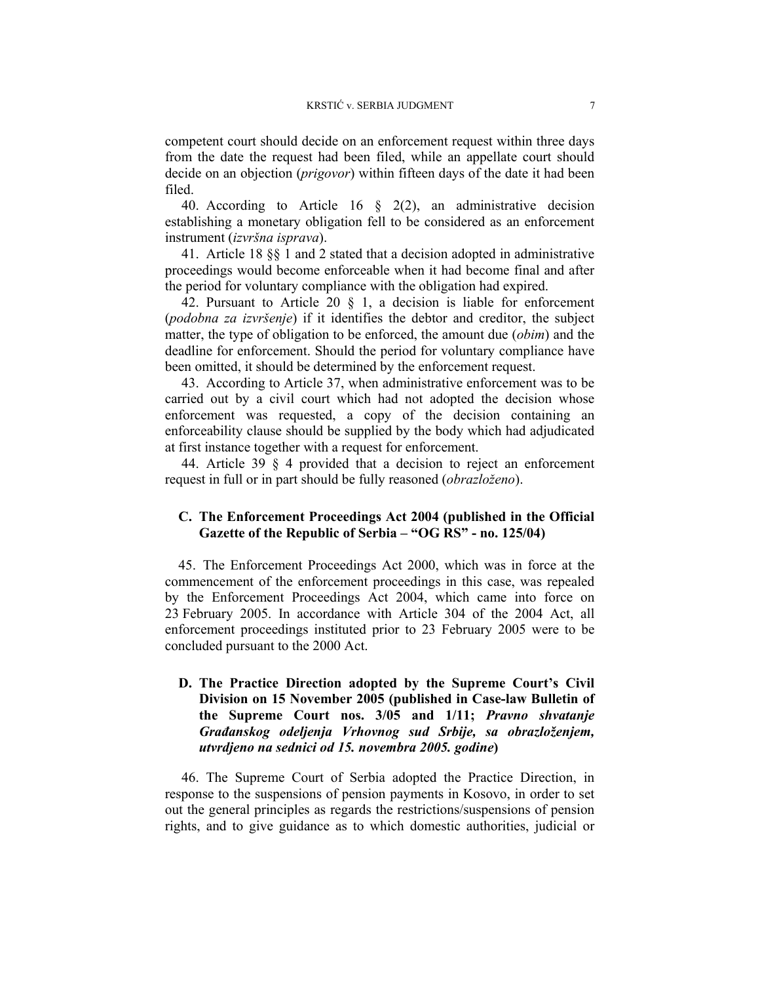competent court should decide on an enforcement request within three days from the date the request had been filed, while an appellate court should decide on an objection (*prigovor*) within fifteen days of the date it had been filed.

40. According to Article 16  $\frac{1}{2}$  2(2), an administrative decision establishing a monetary obligation fell to be considered as an enforcement instrument (*izvršna isprava*).

41. Article 18 §§ 1 and 2 stated that a decision adopted in administrative proceedings would become enforceable when it had become final and after the period for voluntary compliance with the obligation had expired.

42. Pursuant to Article 20  $\S$  1, a decision is liable for enforcement (*podobna za izvršenje*) if it identifies the debtor and creditor, the subject matter, the type of obligation to be enforced, the amount due (*obim*) and the deadline for enforcement. Should the period for voluntary compliance have been omitted, it should be determined by the enforcement request.

43. According to Article 37, when administrative enforcement was to be carried out by a civil court which had not adopted the decision whose enforcement was requested, a copy of the decision containing an enforceability clause should be supplied by the body which had adjudicated at first instance together with a request for enforcement.

44. Article 39 § 4 provided that a decision to reject an enforcement request in full or in part should be fully reasoned (*obrazloženo*).

# **C. The Enforcement Proceedings Act 2004 (published in the Official Gazette of the Republic of Serbia – "OG RS" - no. 125/04)**

45. The Enforcement Proceedings Act 2000, which was in force at the commencement of the enforcement proceedings in this case, was repealed by the Enforcement Proceedings Act 2004, which came into force on 23 February 2005. In accordance with Article 304 of the 2004 Act, all enforcement proceedings instituted prior to 23 February 2005 were to be concluded pursuant to the 2000 Act.

# **D. The Practice Direction adopted by the Supreme Court's Civil Division on 15 November 2005 (published in Case-law Bulletin of the Supreme Court nos. 3/05 and 1/11;** *Pravno shvatanje Građanskog odeljenja Vrhovnog sud Srbije, sa obrazloženjem, utvrdjeno na sednici od 15. novembra 2005. godine***)**

46. The Supreme Court of Serbia adopted the Practice Direction, in response to the suspensions of pension payments in Kosovo, in order to set out the general principles as regards the restrictions/suspensions of pension rights, and to give guidance as to which domestic authorities, judicial or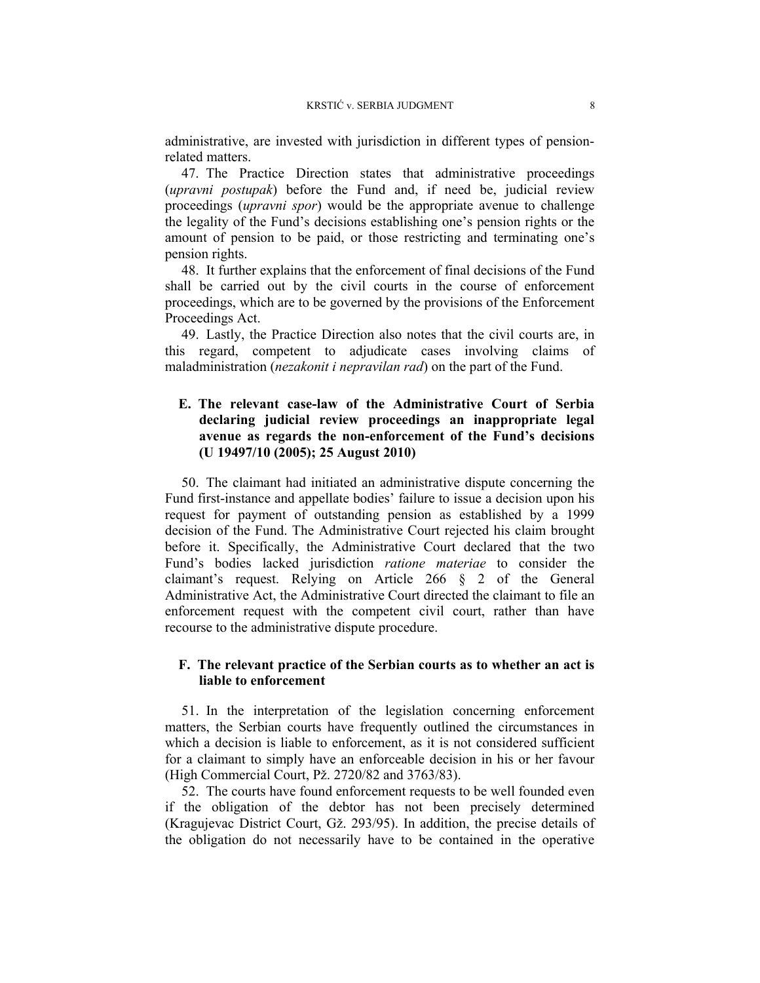administrative, are invested with jurisdiction in different types of pensionrelated matters.

47. The Practice Direction states that administrative proceedings (*upravni postupak*) before the Fund and, if need be, judicial review proceedings (*upravni spor*) would be the appropriate avenue to challenge the legality of the Fund's decisions establishing one's pension rights or the amount of pension to be paid, or those restricting and terminating one's pension rights.

48. It further explains that the enforcement of final decisions of the Fund shall be carried out by the civil courts in the course of enforcement proceedings, which are to be governed by the provisions of the Enforcement Proceedings Act.

49. Lastly, the Practice Direction also notes that the civil courts are, in this regard, competent to adjudicate cases involving claims of maladministration (*nezakonit i nepravilan rad*) on the part of the Fund.

# **E. The relevant case-law of the Administrative Court of Serbia declaring judicial review proceedings an inappropriate legal avenue as regards the non-enforcement of the Fund's decisions (U 19497/10 (2005); 25 August 2010)**

50. The claimant had initiated an administrative dispute concerning the Fund first-instance and appellate bodies' failure to issue a decision upon his request for payment of outstanding pension as established by a 1999 decision of the Fund. The Administrative Court rejected his claim brought before it. Specifically, the Administrative Court declared that the two Fund's bodies lacked jurisdiction *ratione materiae* to consider the claimant's request. Relying on Article 266 § 2 of the General Administrative Act, the Administrative Court directed the claimant to file an enforcement request with the competent civil court, rather than have recourse to the administrative dispute procedure.

### **F. The relevant practice of the Serbian courts as to whether an act is liable to enforcement**

51. In the interpretation of the legislation concerning enforcement matters, the Serbian courts have frequently outlined the circumstances in which a decision is liable to enforcement, as it is not considered sufficient for a claimant to simply have an enforceable decision in his or her favour (High Commercial Court, Pž. 2720/82 and 3763/83).

52. The courts have found enforcement requests to be well founded even if the obligation of the debtor has not been precisely determined (Kragujevac District Court, Gž. 293/95). In addition, the precise details of the obligation do not necessarily have to be contained in the operative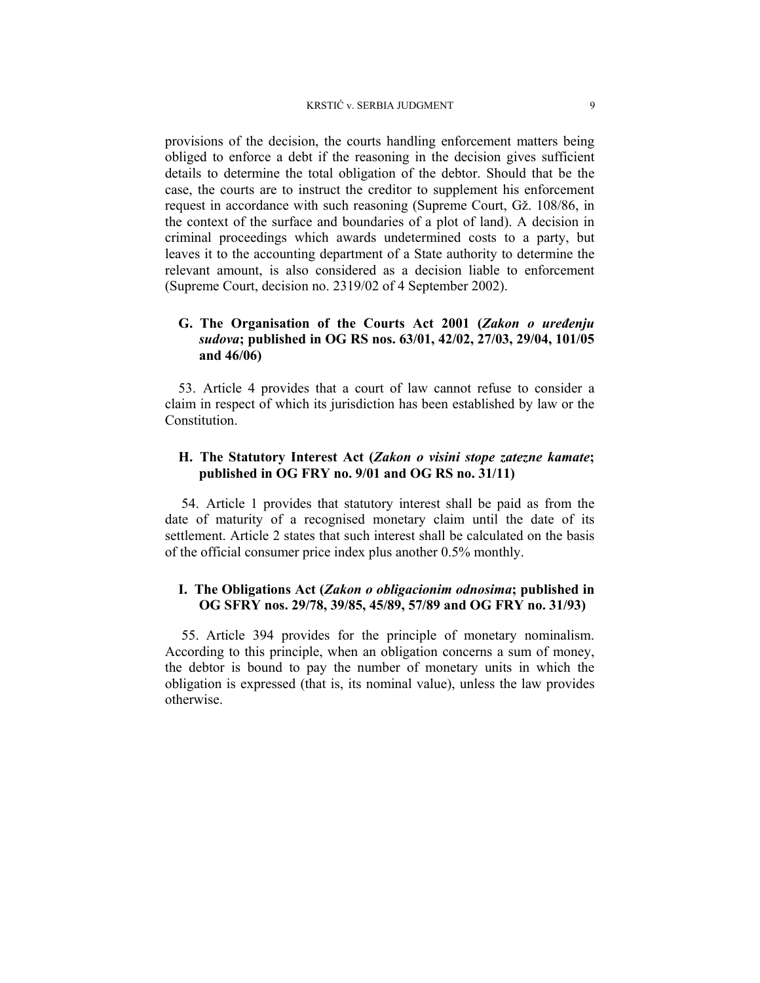provisions of the decision, the courts handling enforcement matters being obliged to enforce a debt if the reasoning in the decision gives sufficient details to determine the total obligation of the debtor. Should that be the case, the courts are to instruct the creditor to supplement his enforcement request in accordance with such reasoning (Supreme Court, Gž. 108/86, in the context of the surface and boundaries of a plot of land). A decision in criminal proceedings which awards undetermined costs to a party, but leaves it to the accounting department of a State authority to determine the relevant amount, is also considered as a decision liable to enforcement (Supreme Court, decision no. 2319/02 of 4 September 2002).

# **G. The Organisation of the Courts Act 2001 (***Zakon o uređenju sudova***; published in OG RS nos. 63/01, 42/02, 27/03, 29/04, 101/05 and 46/06)**

53. Article 4 provides that a court of law cannot refuse to consider a claim in respect of which its jurisdiction has been established by law or the **Constitution** 

# **H. The Statutory Interest Act (***Zakon o visini stope zatezne kamate***; published in OG FRY no. 9/01 and OG RS no. 31/11)**

54. Article 1 provides that statutory interest shall be paid as from the date of maturity of a recognised monetary claim until the date of its settlement. Article 2 states that such interest shall be calculated on the basis of the official consumer price index plus another 0.5% monthly.

# **I. The Obligations Act (***Zakon o obligacionim odnosima***; published in OG SFRY nos. 29/78, 39/85, 45/89, 57/89 and OG FRY no. 31/93)**

55. Article 394 provides for the principle of monetary nominalism. According to this principle, when an obligation concerns a sum of money, the debtor is bound to pay the number of monetary units in which the obligation is expressed (that is, its nominal value), unless the law provides otherwise.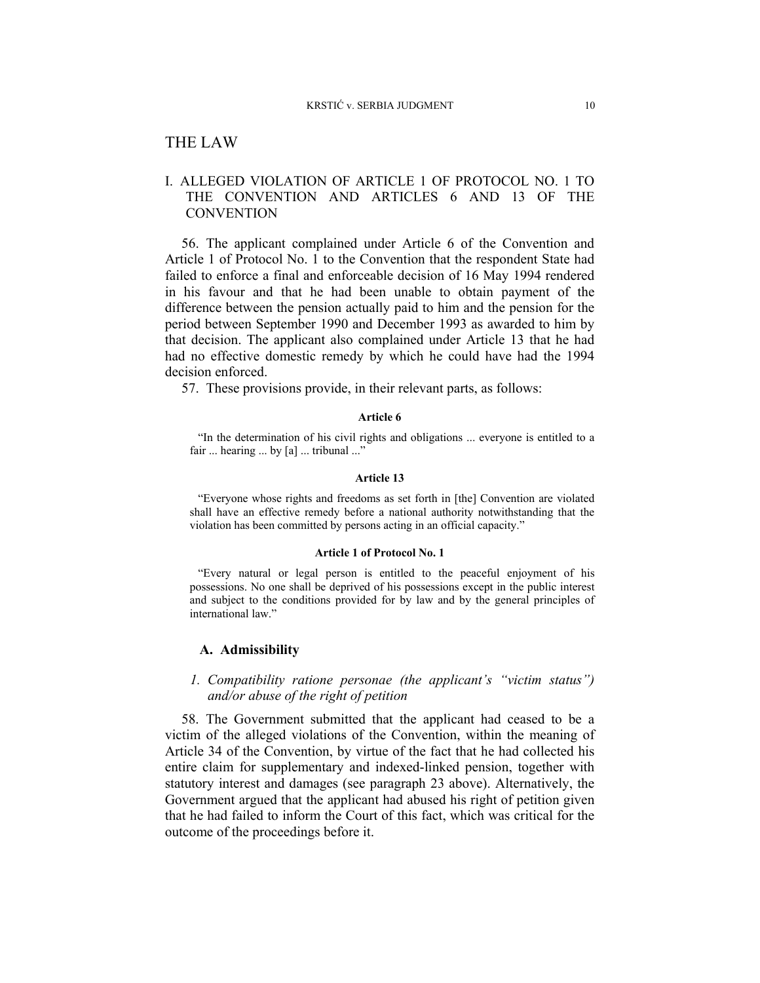# THE LAW

# I. ALLEGED VIOLATION OF ARTICLE 1 OF PROTOCOL NO. 1 TO THE CONVENTION AND ARTICLES 6 AND 13 OF THE **CONVENTION**

56. The applicant complained under Article 6 of the Convention and Article 1 of Protocol No. 1 to the Convention that the respondent State had failed to enforce a final and enforceable decision of 16 May 1994 rendered in his favour and that he had been unable to obtain payment of the difference between the pension actually paid to him and the pension for the period between September 1990 and December 1993 as awarded to him by that decision. The applicant also complained under Article 13 that he had had no effective domestic remedy by which he could have had the 1994 decision enforced.

57. These provisions provide, in their relevant parts, as follows:

#### **Article 6**

"In the determination of his civil rights and obligations ... everyone is entitled to a fair ... hearing ... by [a] ... tribunal ..."

#### **Article 13**

"Everyone whose rights and freedoms as set forth in [the] Convention are violated shall have an effective remedy before a national authority notwithstanding that the violation has been committed by persons acting in an official capacity."

#### **Article 1 of Protocol No. 1**

"Every natural or legal person is entitled to the peaceful enjoyment of his possessions. No one shall be deprived of his possessions except in the public interest and subject to the conditions provided for by law and by the general principles of international law."

#### **A. Admissibility**

# *1. Compatibility ratione personae (the applicant's "victim status") and/or abuse of the right of petition*

58. The Government submitted that the applicant had ceased to be a victim of the alleged violations of the Convention, within the meaning of Article 34 of the Convention, by virtue of the fact that he had collected his entire claim for supplementary and indexed-linked pension, together with statutory interest and damages (see paragraph 23 above). Alternatively, the Government argued that the applicant had abused his right of petition given that he had failed to inform the Court of this fact, which was critical for the outcome of the proceedings before it.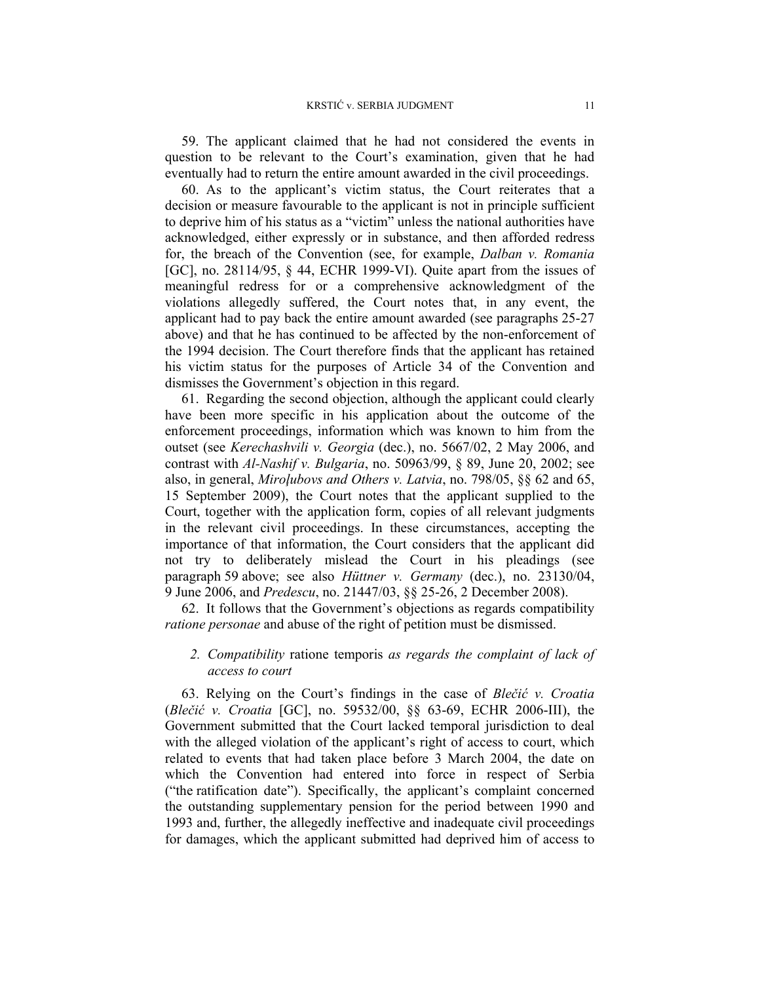59. The applicant claimed that he had not considered the events in question to be relevant to the Court's examination, given that he had eventually had to return the entire amount awarded in the civil proceedings.

60. As to the applicant's victim status, the Court reiterates that a decision or measure favourable to the applicant is not in principle sufficient to deprive him of his status as a "victim" unless the national authorities have acknowledged, either expressly or in substance, and then afforded redress for, the breach of the Convention (see, for example, *Dalban v. Romania* [GC], no. 28114/95, § 44, ECHR 1999-VI). Quite apart from the issues of meaningful redress for or a comprehensive acknowledgment of the violations allegedly suffered, the Court notes that, in any event, the applicant had to pay back the entire amount awarded (see paragraphs 25-27 above) and that he has continued to be affected by the non-enforcement of the 1994 decision. The Court therefore finds that the applicant has retained his victim status for the purposes of Article 34 of the Convention and dismisses the Government's objection in this regard.

61. Regarding the second objection, although the applicant could clearly have been more specific in his application about the outcome of the enforcement proceedings, information which was known to him from the outset (see *Kerechashvili v. Georgia* (dec.), no. 5667/02, 2 May 2006, and contrast with *Al-Nashif v. Bulgaria*, no. 50963/99, § 89, June 20, 2002; see also, in general, *Miroļubovs and Others v. Latvia*, no. 798/05, §§ 62 and 65, 15 September 2009), the Court notes that the applicant supplied to the Court, together with the application form, copies of all relevant judgments in the relevant civil proceedings. In these circumstances, accepting the importance of that information, the Court considers that the applicant did not try to deliberately mislead the Court in his pleadings (see paragraph 59 above; see also *Hüttner v. Germany* (dec.), no. 23130/04, 9 June 2006, and *Predescu*, no. 21447/03, §§ 25-26, 2 December 2008).

62. It follows that the Government's objections as regards compatibility *ratione personae* and abuse of the right of petition must be dismissed.

# *2. Compatibility* ratione temporis *as regards the complaint of lack of access to court*

63. Relying on the Court's findings in the case of *Blečić v. Croatia* (*Blečić v. Croatia* [GC], no. 59532/00, §§ 63-69, ECHR 2006-III), the Government submitted that the Court lacked temporal jurisdiction to deal with the alleged violation of the applicant's right of access to court, which related to events that had taken place before 3 March 2004, the date on which the Convention had entered into force in respect of Serbia ("the ratification date"). Specifically, the applicant's complaint concerned the outstanding supplementary pension for the period between 1990 and 1993 and, further, the allegedly ineffective and inadequate civil proceedings for damages, which the applicant submitted had deprived him of access to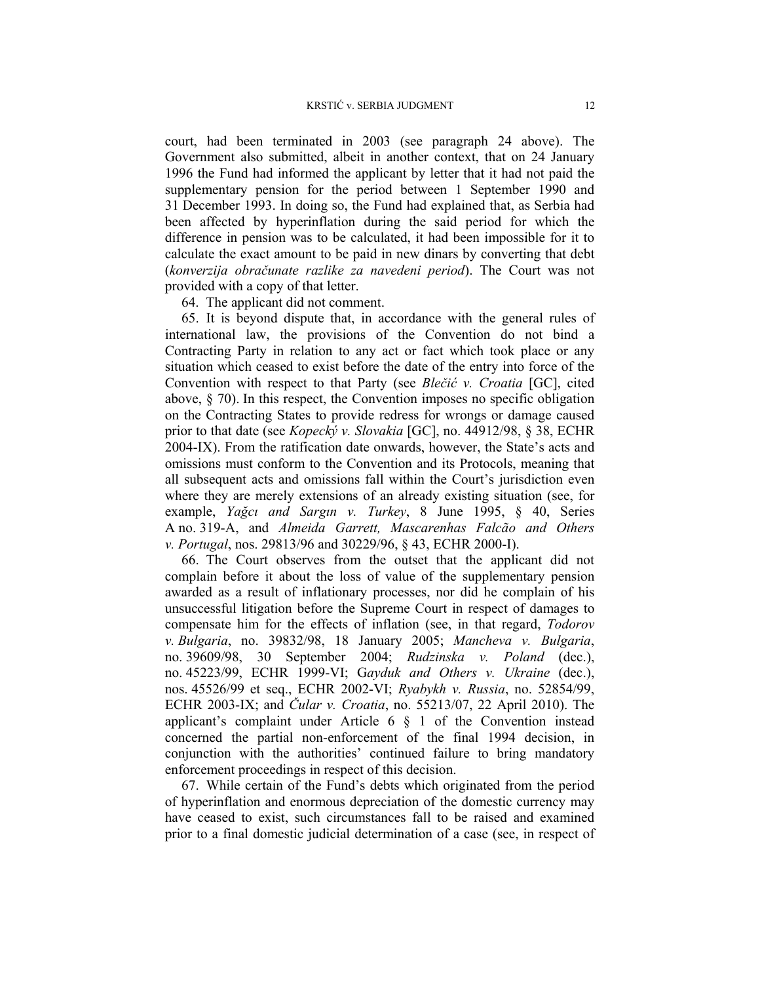court, had been terminated in 2003 (see paragraph 24 above). The Government also submitted, albeit in another context, that on 24 January 1996 the Fund had informed the applicant by letter that it had not paid the supplementary pension for the period between 1 September 1990 and 31 December 1993. In doing so, the Fund had explained that, as Serbia had been affected by hyperinflation during the said period for which the difference in pension was to be calculated, it had been impossible for it to calculate the exact amount to be paid in new dinars by converting that debt (*konverzija obračunate razlike za navedeni period*). The Court was not provided with a copy of that letter.

64. The applicant did not comment.

65. It is beyond dispute that, in accordance with the general rules of international law, the provisions of the Convention do not bind a Contracting Party in relation to any act or fact which took place or any situation which ceased to exist before the date of the entry into force of the Convention with respect to that Party (see *Blečić v. Croatia* [GC], cited above, § 70). In this respect, the Convention imposes no specific obligation on the Contracting States to provide redress for wrongs or damage caused prior to that date (see *Kopecký v. Slovakia* [GC], no. 44912/98, § 38, ECHR 2004-IX). From the ratification date onwards, however, the State's acts and omissions must conform to the Convention and its Protocols, meaning that all subsequent acts and omissions fall within the Court's jurisdiction even where they are merely extensions of an already existing situation (see, for example, *Yağcı and Sargın v. Turkey*, 8 June 1995, § 40, Series A no. 319-A, and *Almeida Garrett, Mascarenhas Falcão and Others v. Portugal*, nos. 29813/96 and 30229/96, § 43, ECHR 2000-I).

66. The Court observes from the outset that the applicant did not complain before it about the loss of value of the supplementary pension awarded as a result of inflationary processes, nor did he complain of his unsuccessful litigation before the Supreme Court in respect of damages to compensate him for the effects of inflation (see, in that regard, *Todorov v. Bulgaria*, no. 39832/98, 18 January 2005; *Mancheva v. Bulgaria*, no. 39609/98, 30 September 2004; *Rudzinska v. Poland* (dec.), no. 45223/99, ECHR 1999-VI; G*ayduk and Others v. Ukraine* (dec.), nos. 45526/99 et seq., ECHR 2002-VI; *Ryabykh v. Russia*, no. 52854/99, ECHR 2003-IX; and *Čular v. Croatia*, no. 55213/07, 22 April 2010). The applicant's complaint under Article  $6 \S 1$  of the Convention instead concerned the partial non-enforcement of the final 1994 decision, in conjunction with the authorities' continued failure to bring mandatory enforcement proceedings in respect of this decision.

67. While certain of the Fund's debts which originated from the period of hyperinflation and enormous depreciation of the domestic currency may have ceased to exist, such circumstances fall to be raised and examined prior to a final domestic judicial determination of a case (see, in respect of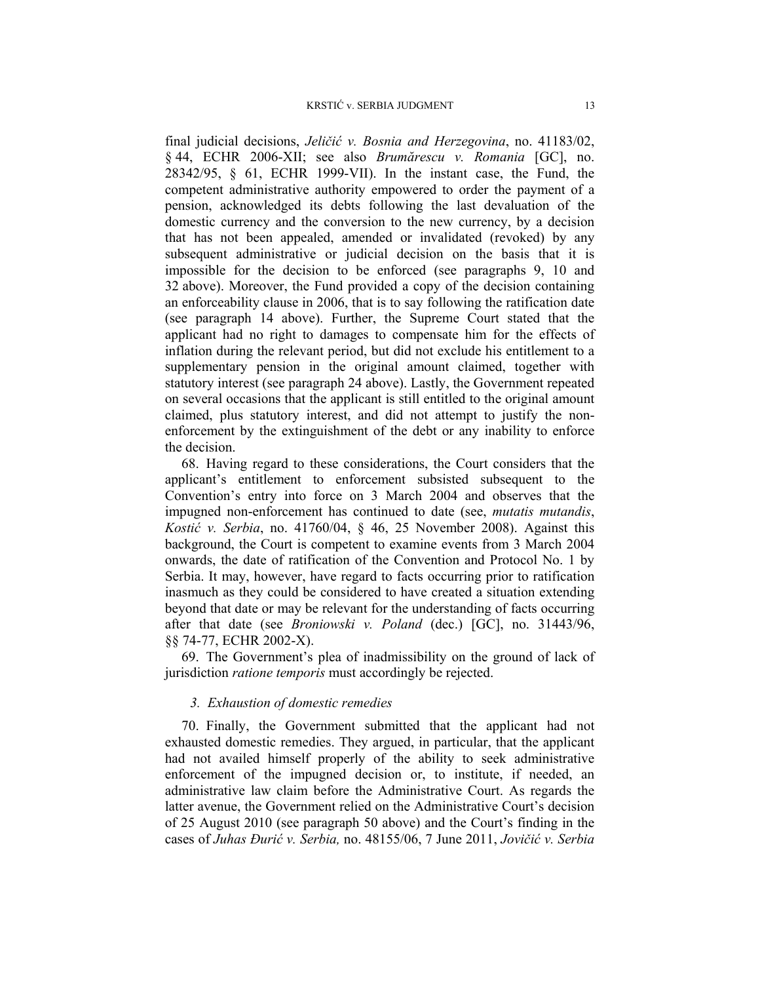final judicial decisions, *Jeličić v. Bosnia and Herzegovina*, no. 41183/02, § 44, ECHR 2006-XII; see also *Brumărescu v. Romania* [GC], no. 28342/95, § 61, ECHR 1999-VII). In the instant case, the Fund, the competent administrative authority empowered to order the payment of a pension, acknowledged its debts following the last devaluation of the domestic currency and the conversion to the new currency, by a decision that has not been appealed, amended or invalidated (revoked) by any subsequent administrative or judicial decision on the basis that it is impossible for the decision to be enforced (see paragraphs 9, 10 and 32 above). Moreover, the Fund provided a copy of the decision containing an enforceability clause in 2006, that is to say following the ratification date (see paragraph 14 above). Further, the Supreme Court stated that the applicant had no right to damages to compensate him for the effects of inflation during the relevant period, but did not exclude his entitlement to a supplementary pension in the original amount claimed, together with statutory interest (see paragraph 24 above). Lastly, the Government repeated on several occasions that the applicant is still entitled to the original amount claimed, plus statutory interest, and did not attempt to justify the nonenforcement by the extinguishment of the debt or any inability to enforce the decision.

68. Having regard to these considerations, the Court considers that the applicant's entitlement to enforcement subsisted subsequent to the Convention's entry into force on 3 March 2004 and observes that the impugned non-enforcement has continued to date (see, *mutatis mutandis*, *Kostić v. Serbia*, no. 41760/04, § 46, 25 November 2008). Against this background, the Court is competent to examine events from 3 March 2004 onwards, the date of ratification of the Convention and Protocol No. 1 by Serbia. It may, however, have regard to facts occurring prior to ratification inasmuch as they could be considered to have created a situation extending beyond that date or may be relevant for the understanding of facts occurring after that date (see *Broniowski v. Poland* (dec.) [GC], no. 31443/96, §§ 74-77, ECHR 2002-X).

69. The Government's plea of inadmissibility on the ground of lack of jurisdiction *ratione temporis* must accordingly be rejected.

# *3. Exhaustion of domestic remedies*

70. Finally, the Government submitted that the applicant had not exhausted domestic remedies. They argued, in particular, that the applicant had not availed himself properly of the ability to seek administrative enforcement of the impugned decision or, to institute, if needed, an administrative law claim before the Administrative Court. As regards the latter avenue, the Government relied on the Administrative Court's decision of 25 August 2010 (see paragraph 50 above) and the Court's finding in the cases of *Juhas Đurić v. Serbia,* no. 48155/06, 7 June 2011, *Jovičić v. Serbia*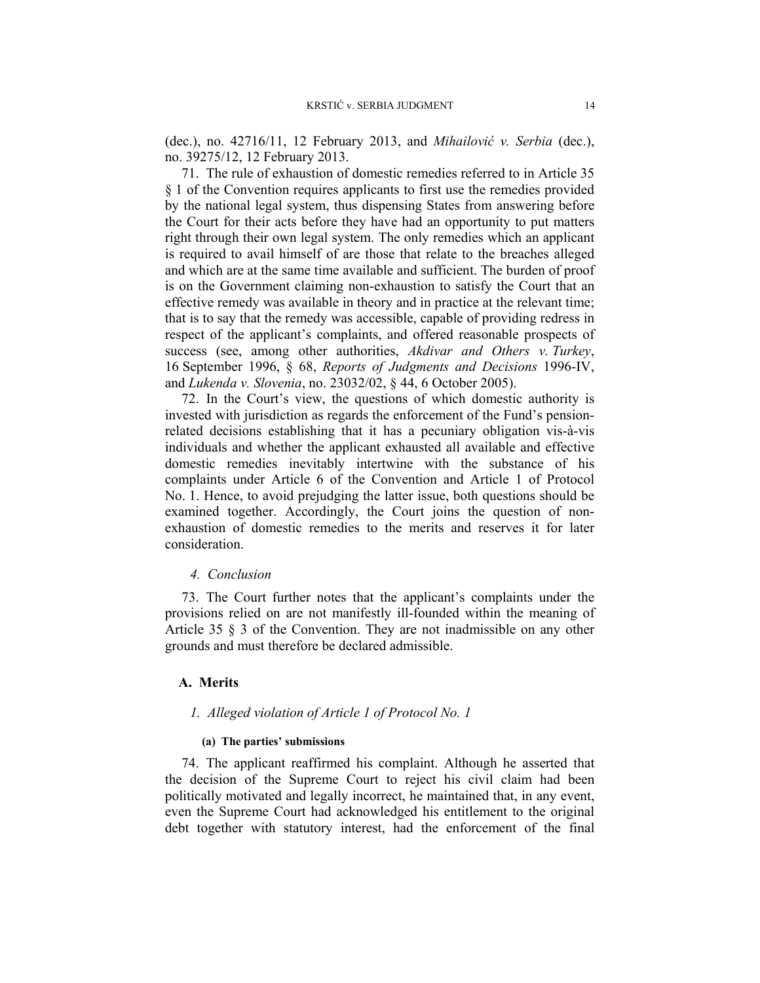(dec.), no. 42716/11, 12 February 2013, and *Mihailović v. Serbia* (dec.), no. 39275/12, 12 February 2013.

71. The rule of exhaustion of domestic remedies referred to in Article 35 § 1 of the Convention requires applicants to first use the remedies provided by the national legal system, thus dispensing States from answering before the Court for their acts before they have had an opportunity to put matters right through their own legal system. The only remedies which an applicant is required to avail himself of are those that relate to the breaches alleged and which are at the same time available and sufficient. The burden of proof is on the Government claiming non-exhaustion to satisfy the Court that an effective remedy was available in theory and in practice at the relevant time; that is to say that the remedy was accessible, capable of providing redress in respect of the applicant's complaints, and offered reasonable prospects of success (see, among other authorities, *Akdivar and Others v. Turkey*, 16 September 1996, § 68, *Reports of Judgments and Decisions* 1996-IV, and *Lukenda v. Slovenia*, no. 23032/02, § 44, 6 October 2005).

72. In the Court's view, the questions of which domestic authority is invested with jurisdiction as regards the enforcement of the Fund's pensionrelated decisions establishing that it has a pecuniary obligation vis-à-vis individuals and whether the applicant exhausted all available and effective domestic remedies inevitably intertwine with the substance of his complaints under Article 6 of the Convention and Article 1 of Protocol No. 1. Hence, to avoid prejudging the latter issue, both questions should be examined together. Accordingly, the Court joins the question of nonexhaustion of domestic remedies to the merits and reserves it for later consideration.

#### *4. Conclusion*

73. The Court further notes that the applicant's complaints under the provisions relied on are not manifestly ill-founded within the meaning of Article 35 § 3 of the Convention. They are not inadmissible on any other grounds and must therefore be declared admissible.

## **A. Merits**

#### *1. Alleged violation of Article 1 of Protocol No. 1*

### **(a) The parties' submissions**

74. The applicant reaffirmed his complaint. Although he asserted that the decision of the Supreme Court to reject his civil claim had been politically motivated and legally incorrect, he maintained that, in any event, even the Supreme Court had acknowledged his entitlement to the original debt together with statutory interest, had the enforcement of the final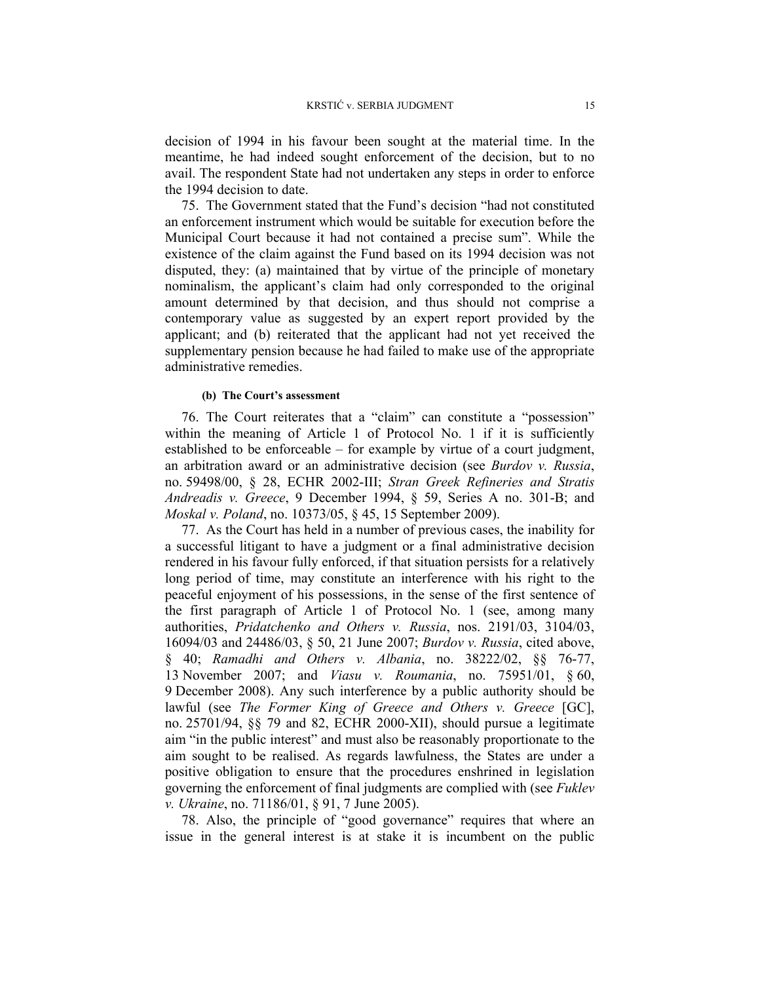decision of 1994 in his favour been sought at the material time. In the meantime, he had indeed sought enforcement of the decision, but to no avail. The respondent State had not undertaken any steps in order to enforce the 1994 decision to date.

75. The Government stated that the Fund's decision "had not constituted an enforcement instrument which would be suitable for execution before the Municipal Court because it had not contained a precise sum". While the existence of the claim against the Fund based on its 1994 decision was not disputed, they: (a) maintained that by virtue of the principle of monetary nominalism, the applicant's claim had only corresponded to the original amount determined by that decision, and thus should not comprise a contemporary value as suggested by an expert report provided by the applicant; and (b) reiterated that the applicant had not yet received the supplementary pension because he had failed to make use of the appropriate administrative remedies.

#### **(b) The Court's assessment**

76. The Court reiterates that a "claim" can constitute a "possession" within the meaning of Article 1 of Protocol No. 1 if it is sufficiently established to be enforceable – for example by virtue of a court judgment, an arbitration award or an administrative decision (see *Burdov v. Russia*, no. 59498/00, § 28, ECHR 2002-III; *Stran Greek Refineries and Stratis Andreadis v. Greece*, 9 December 1994, § 59, Series A no. 301-B; and *Moskal v. Poland*, no. 10373/05, § 45, 15 September 2009).

77. As the Court has held in a number of previous cases, the inability for a successful litigant to have a judgment or a final administrative decision rendered in his favour fully enforced, if that situation persists for a relatively long period of time, may constitute an interference with his right to the peaceful enjoyment of his possessions, in the sense of the first sentence of the first paragraph of Article 1 of Protocol No. 1 (see, among many authorities, *Pridatchenko and Others v. Russia*, nos. 2191/03, 3104/03, 16094/03 and 24486/03, § 50, 21 June 2007; *Burdov v. Russia*, cited above, § 40; *Ramadhi and Others v. Albania*, no. 38222/02, §§ 76-77, 13 November 2007; and *Viasu v. Roumania*, no. 75951/01, § 60, 9 December 2008). Any such interference by a public authority should be lawful (see *The Former King of Greece and Others v. Greece* [GC], no. 25701/94, §§ 79 and 82, ECHR 2000-XII), should pursue a legitimate aim "in the public interest" and must also be reasonably proportionate to the aim sought to be realised. As regards lawfulness, the States are under a positive obligation to ensure that the procedures enshrined in legislation governing the enforcement of final judgments are complied with (see *Fuklev v. Ukraine*, no. 71186/01, § 91, 7 June 2005).

78. Also, the principle of "good governance" requires that where an issue in the general interest is at stake it is incumbent on the public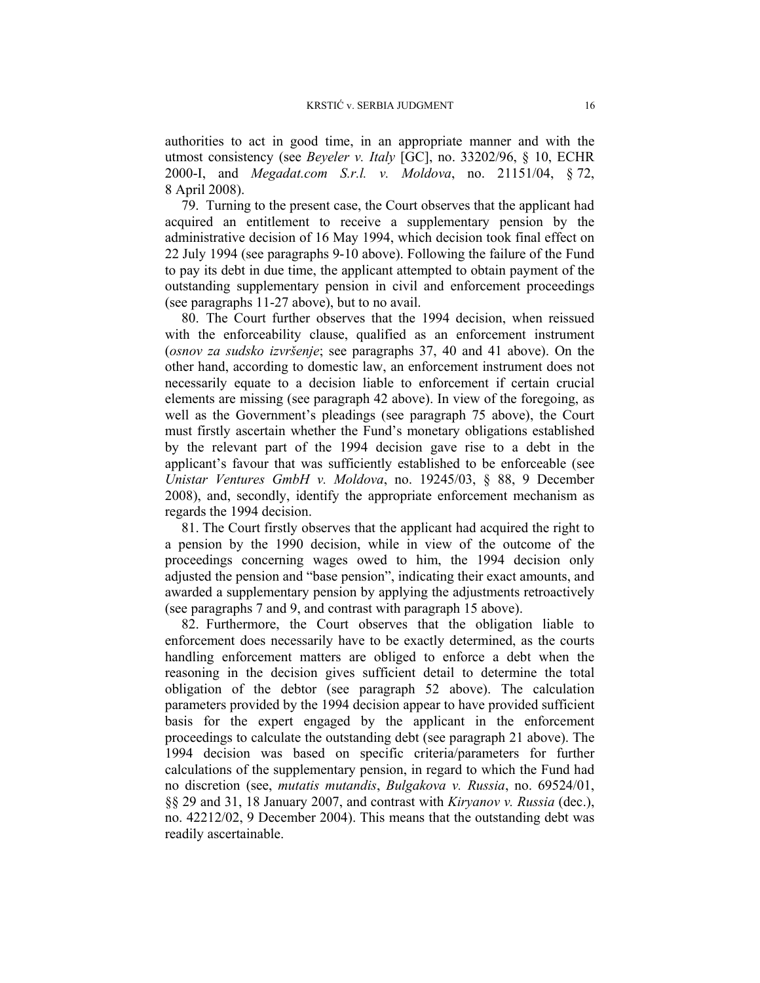authorities to act in good time, in an appropriate manner and with the utmost consistency (see *Beyeler v. Italy* [GC], no. 33202/96, § 10, ECHR 2000-I, and *Megadat.com S.r.l. v. Moldova*, no. 21151/04, § 72, 8 April 2008).

79. Turning to the present case, the Court observes that the applicant had acquired an entitlement to receive a supplementary pension by the administrative decision of 16 May 1994, which decision took final effect on 22 July 1994 (see paragraphs 9-10 above). Following the failure of the Fund to pay its debt in due time, the applicant attempted to obtain payment of the outstanding supplementary pension in civil and enforcement proceedings (see paragraphs 11-27 above), but to no avail.

80. The Court further observes that the 1994 decision, when reissued with the enforceability clause, qualified as an enforcement instrument (*osnov za sudsko izvršenje*; see paragraphs 37, 40 and 41 above). On the other hand, according to domestic law, an enforcement instrument does not necessarily equate to a decision liable to enforcement if certain crucial elements are missing (see paragraph 42 above). In view of the foregoing, as well as the Government's pleadings (see paragraph 75 above), the Court must firstly ascertain whether the Fund's monetary obligations established by the relevant part of the 1994 decision gave rise to a debt in the applicant's favour that was sufficiently established to be enforceable (see *Unistar Ventures GmbH v. Moldova*, no. 19245/03, § 88, 9 December 2008), and, secondly, identify the appropriate enforcement mechanism as regards the 1994 decision.

81. The Court firstly observes that the applicant had acquired the right to a pension by the 1990 decision, while in view of the outcome of the proceedings concerning wages owed to him, the 1994 decision only adjusted the pension and "base pension", indicating their exact amounts, and awarded a supplementary pension by applying the adjustments retroactively (see paragraphs 7 and 9, and contrast with paragraph 15 above).

82. Furthermore, the Court observes that the obligation liable to enforcement does necessarily have to be exactly determined, as the courts handling enforcement matters are obliged to enforce a debt when the reasoning in the decision gives sufficient detail to determine the total obligation of the debtor (see paragraph 52 above). The calculation parameters provided by the 1994 decision appear to have provided sufficient basis for the expert engaged by the applicant in the enforcement proceedings to calculate the outstanding debt (see paragraph 21 above). The 1994 decision was based on specific criteria/parameters for further calculations of the supplementary pension, in regard to which the Fund had no discretion (see, *mutatis mutandis*, *Bulgakova v. Russia*, no. 69524/01, §§ 29 and 31, 18 January 2007, and contrast with *Kiryanov v. Russia* (dec.), no. 42212/02, 9 December 2004). This means that the outstanding debt was readily ascertainable.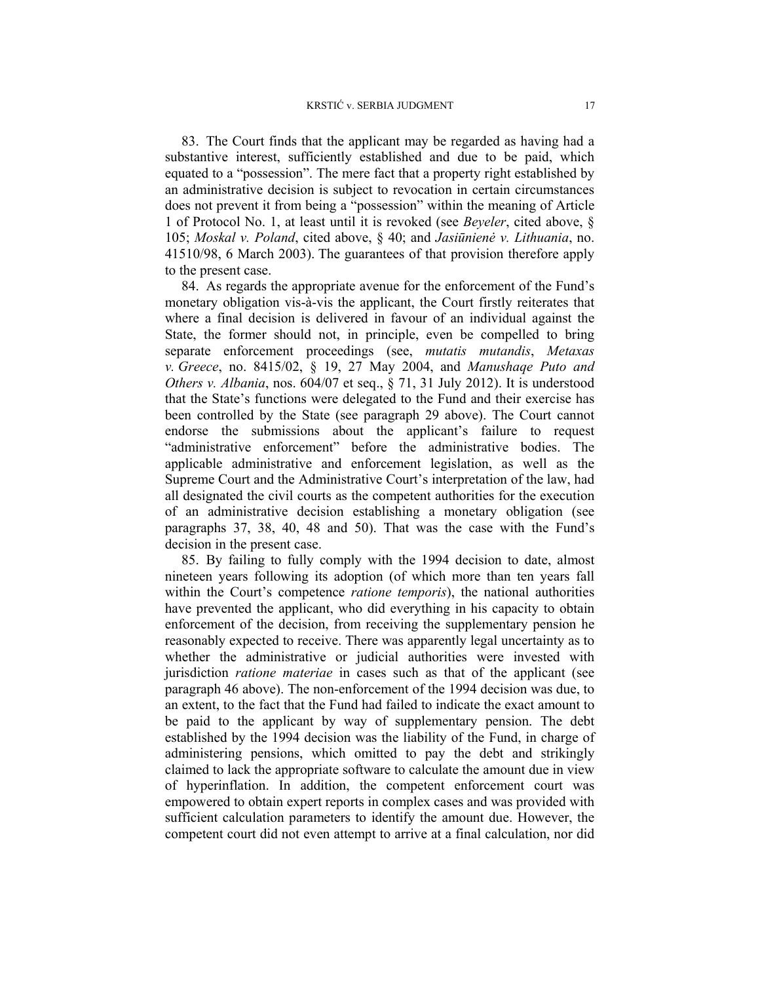83. The Court finds that the applicant may be regarded as having had a substantive interest, sufficiently established and due to be paid, which equated to a "possession". The mere fact that a property right established by an administrative decision is subject to revocation in certain circumstances does not prevent it from being a "possession" within the meaning of Article 1 of Protocol No. 1, at least until it is revoked (see *Beyeler*, cited above, § 105; *Moskal v. Poland*, cited above, § 40; and *Jasiūnienė v. Lithuania*, no. 41510/98, 6 March 2003). The guarantees of that provision therefore apply to the present case.

84. As regards the appropriate avenue for the enforcement of the Fund's monetary obligation vis-à-vis the applicant, the Court firstly reiterates that where a final decision is delivered in favour of an individual against the State, the former should not, in principle, even be compelled to bring separate enforcement proceedings (see, *mutatis mutandis*, *Metaxas v. Greece*, no. 8415/02, § 19, 27 May 2004, and *Manushaqe Puto and Others v. Albania*, nos. 604/07 et seq., § 71, 31 July 2012). It is understood that the State's functions were delegated to the Fund and their exercise has been controlled by the State (see paragraph 29 above). The Court cannot endorse the submissions about the applicant's failure to request "administrative enforcement" before the administrative bodies. The applicable administrative and enforcement legislation, as well as the Supreme Court and the Administrative Court's interpretation of the law, had all designated the civil courts as the competent authorities for the execution of an administrative decision establishing a monetary obligation (see paragraphs 37, 38, 40, 48 and 50). That was the case with the Fund's decision in the present case.

85. By failing to fully comply with the 1994 decision to date, almost nineteen years following its adoption (of which more than ten years fall within the Court's competence *ratione temporis*), the national authorities have prevented the applicant, who did everything in his capacity to obtain enforcement of the decision, from receiving the supplementary pension he reasonably expected to receive. There was apparently legal uncertainty as to whether the administrative or judicial authorities were invested with jurisdiction *ratione materiae* in cases such as that of the applicant (see paragraph 46 above). The non-enforcement of the 1994 decision was due, to an extent, to the fact that the Fund had failed to indicate the exact amount to be paid to the applicant by way of supplementary pension. The debt established by the 1994 decision was the liability of the Fund, in charge of administering pensions, which omitted to pay the debt and strikingly claimed to lack the appropriate software to calculate the amount due in view of hyperinflation. In addition, the competent enforcement court was empowered to obtain expert reports in complex cases and was provided with sufficient calculation parameters to identify the amount due. However, the competent court did not even attempt to arrive at a final calculation, nor did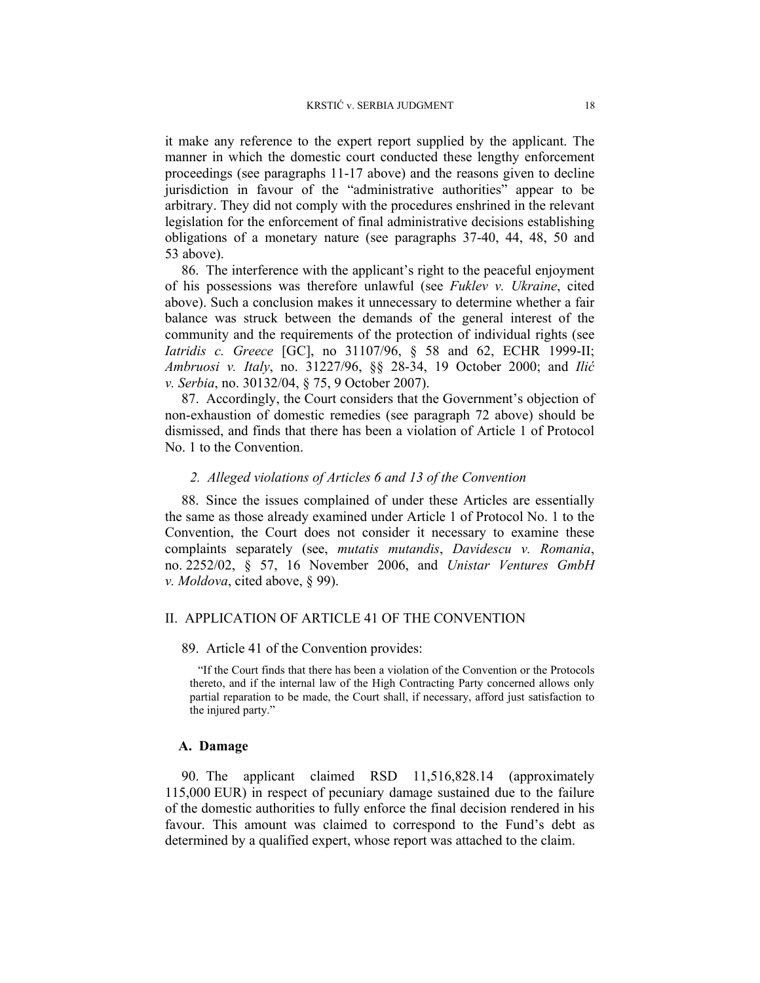it make any reference to the expert report supplied by the applicant. The manner in which the domestic court conducted these lengthy enforcement proceedings (see paragraphs 11-17 above) and the reasons given to decline jurisdiction in favour of the "administrative authorities" appear to be arbitrary. They did not comply with the procedures enshrined in the relevant legislation for the enforcement of final administrative decisions establishing obligations of a monetary nature (see paragraphs 37-40, 44, 48, 50 and 53 above).

86. The interference with the applicant's right to the peaceful enjoyment of his possessions was therefore unlawful (see *Fuklev v. Ukraine*, cited above). Such a conclusion makes it unnecessary to determine whether a fair balance was struck between the demands of the general interest of the community and the requirements of the protection of individual rights (see *Iatridis c. Greece* [GC], no 31107/96, § 58 and 62, ECHR 1999-II; *Ambruosi v. Italy*, no. 31227/96, §§ 28-34, 19 October 2000; and *Ilić v. Serbia*, no. 30132/04, § 75, 9 October 2007).

87. Accordingly, the Court considers that the Government's objection of non-exhaustion of domestic remedies (see paragraph 72 above) should be dismissed, and finds that there has been a violation of Article 1 of Protocol No. 1 to the Convention.

### *2. Alleged violations of Articles 6 and 13 of the Convention*

88. Since the issues complained of under these Articles are essentially the same as those already examined under Article 1 of Protocol No. 1 to the Convention, the Court does not consider it necessary to examine these complaints separately (see, *mutatis mutandis*, *Davidescu v. Romania*, no. 2252/02, § 57, 16 November 2006, and *Unistar Ventures GmbH v. Moldova*, cited above, § 99).

### II. APPLICATION OF ARTICLE 41 OF THE CONVENTION

#### 89. Article 41 of the Convention provides:

"If the Court finds that there has been a violation of the Convention or the Protocols thereto, and if the internal law of the High Contracting Party concerned allows only partial reparation to be made, the Court shall, if necessary, afford just satisfaction to the injured party."

#### **A. Damage**

90. The applicant claimed RSD 11,516,828.14 (approximately 115,000 EUR) in respect of pecuniary damage sustained due to the failure of the domestic authorities to fully enforce the final decision rendered in his favour. This amount was claimed to correspond to the Fund's debt as determined by a qualified expert, whose report was attached to the claim.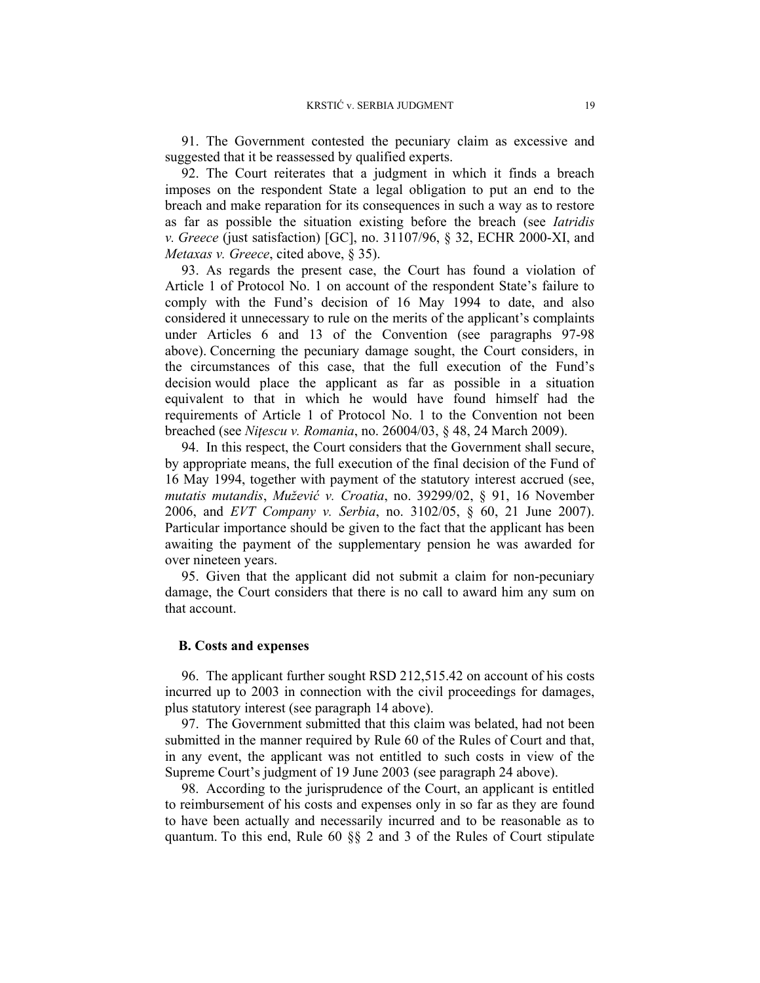91. The Government contested the pecuniary claim as excessive and suggested that it be reassessed by qualified experts.

92. The Court reiterates that a judgment in which it finds a breach imposes on the respondent State a legal obligation to put an end to the breach and make reparation for its consequences in such a way as to restore as far as possible the situation existing before the breach (see *Iatridis v. Greece* (just satisfaction) [GC], no. 31107/96, § 32, ECHR 2000-XI, and *Metaxas v. Greece*, cited above, § 35).

93. As regards the present case, the Court has found a violation of Article 1 of Protocol No. 1 on account of the respondent State's failure to comply with the Fund's decision of 16 May 1994 to date, and also considered it unnecessary to rule on the merits of the applicant's complaints under Articles 6 and 13 of the Convention (see paragraphs 97-98 above). Concerning the pecuniary damage sought, the Court considers, in the circumstances of this case, that the full execution of the Fund's decision would place the applicant as far as possible in a situation equivalent to that in which he would have found himself had the requirements of Article 1 of Protocol No. 1 to the Convention not been breached (see *Niţescu v. Romania*, no. 26004/03, § 48, 24 March 2009).

94. In this respect, the Court considers that the Government shall secure, by appropriate means, the full execution of the final decision of the Fund of 16 May 1994, together with payment of the statutory interest accrued (see, *mutatis mutandis*, *Mužević v. Croatia*, no. 39299/02, § 91, 16 November 2006, and *EVT Company v. Serbia*, no. 3102/05, § 60, 21 June 2007). Particular importance should be given to the fact that the applicant has been awaiting the payment of the supplementary pension he was awarded for over nineteen years.

95. Given that the applicant did not submit a claim for non-pecuniary damage, the Court considers that there is no call to award him any sum on that account.

#### **B. Costs and expenses**

96. The applicant further sought RSD 212,515.42 on account of his costs incurred up to 2003 in connection with the civil proceedings for damages, plus statutory interest (see paragraph 14 above).

97. The Government submitted that this claim was belated, had not been submitted in the manner required by Rule 60 of the Rules of Court and that, in any event, the applicant was not entitled to such costs in view of the Supreme Court's judgment of 19 June 2003 (see paragraph 24 above).

98. According to the jurisprudence of the Court, an applicant is entitled to reimbursement of his costs and expenses only in so far as they are found to have been actually and necessarily incurred and to be reasonable as to quantum. To this end, Rule 60 §§ 2 and 3 of the Rules of Court stipulate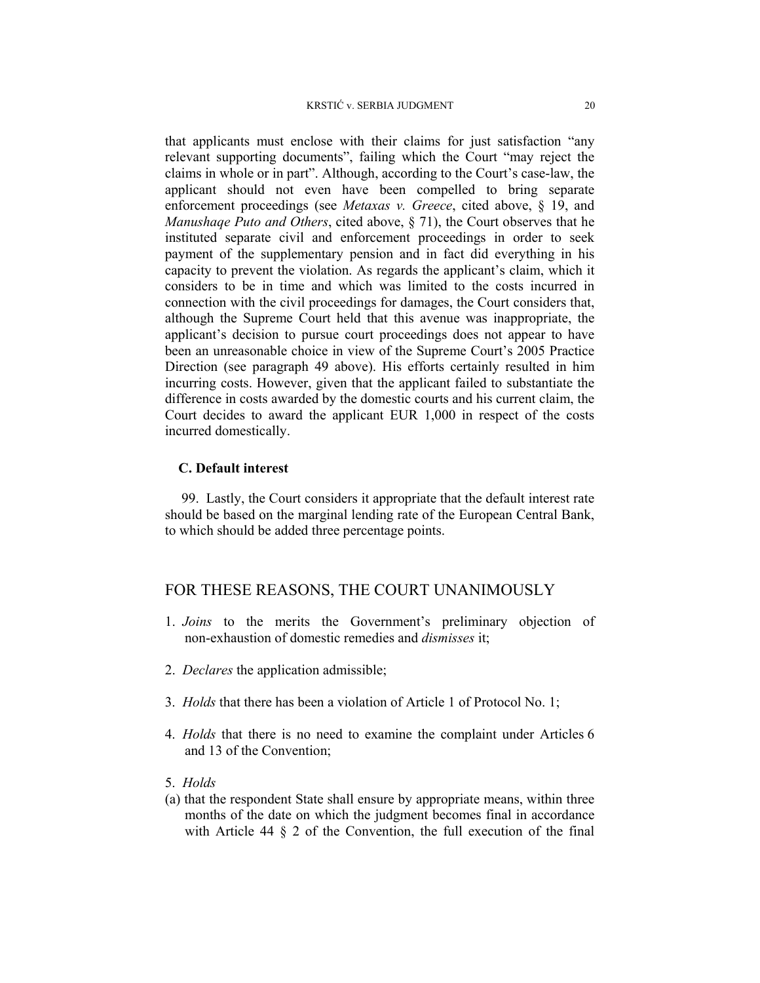that applicants must enclose with their claims for just satisfaction "any relevant supporting documents", failing which the Court "may reject the claims in whole or in part". Although, according to the Court's case-law, the applicant should not even have been compelled to bring separate enforcement proceedings (see *Metaxas v. Greece*, cited above, § 19, and *Manushaqe Puto and Others*, cited above, § 71), the Court observes that he instituted separate civil and enforcement proceedings in order to seek payment of the supplementary pension and in fact did everything in his capacity to prevent the violation. As regards the applicant's claim, which it considers to be in time and which was limited to the costs incurred in connection with the civil proceedings for damages, the Court considers that, although the Supreme Court held that this avenue was inappropriate, the applicant's decision to pursue court proceedings does not appear to have been an unreasonable choice in view of the Supreme Court's 2005 Practice Direction (see paragraph 49 above). His efforts certainly resulted in him incurring costs. However, given that the applicant failed to substantiate the difference in costs awarded by the domestic courts and his current claim, the Court decides to award the applicant EUR 1,000 in respect of the costs incurred domestically.

### **C. Default interest**

99. Lastly, the Court considers it appropriate that the default interest rate should be based on the marginal lending rate of the European Central Bank, to which should be added three percentage points.

# FOR THESE REASONS, THE COURT UNANIMOUSLY

- 1. *Joins* to the merits the Government's preliminary objection of non-exhaustion of domestic remedies and *dismisses* it;
- 2. *Declares* the application admissible;
- 3. *Holds* that there has been a violation of Article 1 of Protocol No. 1;
- 4. *Holds* that there is no need to examine the complaint under Articles 6 and 13 of the Convention;
- 5. *Holds*
- (a) that the respondent State shall ensure by appropriate means, within three months of the date on which the judgment becomes final in accordance with Article 44  $\S$  2 of the Convention, the full execution of the final